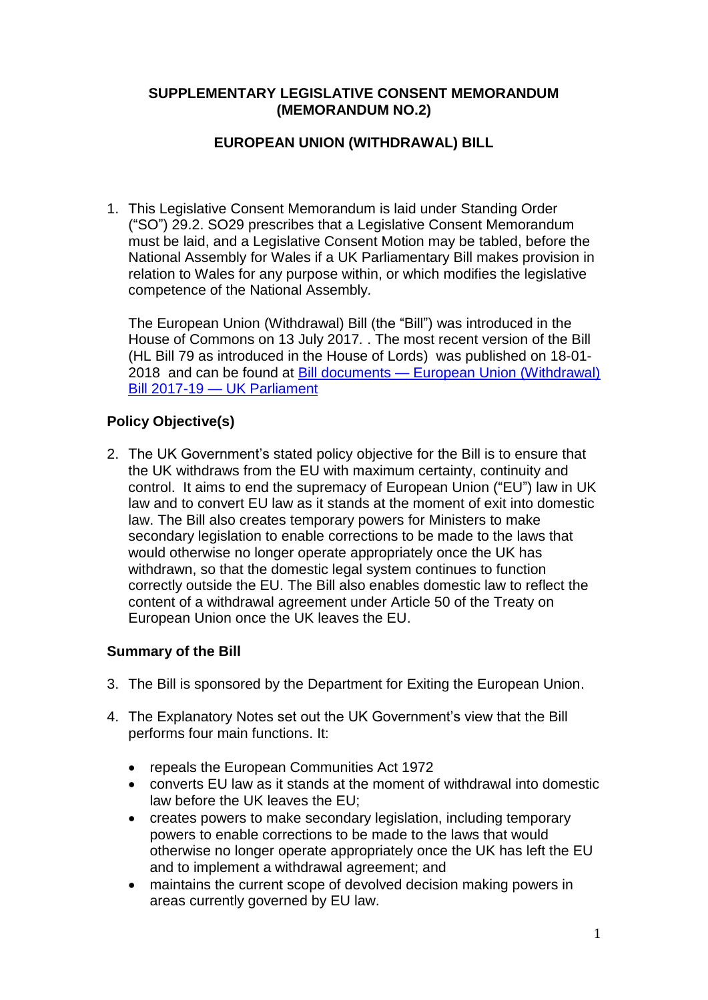#### **SUPPLEMENTARY LEGISLATIVE CONSENT MEMORANDUM (MEMORANDUM NO.2)**

## **EUROPEAN UNION (WITHDRAWAL) BILL**

1. This Legislative Consent Memorandum is laid under Standing Order ("SO") 29.2. SO29 prescribes that a Legislative Consent Memorandum must be laid, and a Legislative Consent Motion may be tabled, before the National Assembly for Wales if a UK Parliamentary Bill makes provision in relation to Wales for any purpose within, or which modifies the legislative competence of the National Assembly*.*

The European Union (Withdrawal) Bill (the "Bill") was introduced in the House of Commons on 13 July 2017*.* . The most recent version of the Bill (HL Bill 79 as introduced in the House of Lords) was published on 18-01- 2018 and can be found at Bill documents — [European Union \(Withdrawal\)](https://services.parliament.uk/bills/2017-19/europeanunionwithdrawal/documents.html)  [Bill 2017-19 —](https://services.parliament.uk/bills/2017-19/europeanunionwithdrawal/documents.html) UK Parliament

# **Policy Objective(s)**

2. The UK Government's stated policy objective for the Bill is to ensure that the UK withdraws from the EU with maximum certainty, continuity and control. It aims to end the supremacy of European Union ("EU") law in UK law and to convert EU law as it stands at the moment of exit into domestic law. The Bill also creates temporary powers for Ministers to make secondary legislation to enable corrections to be made to the laws that would otherwise no longer operate appropriately once the UK has withdrawn, so that the domestic legal system continues to function correctly outside the EU. The Bill also enables domestic law to reflect the content of a withdrawal agreement under Article 50 of the Treaty on European Union once the UK leaves the EU.

## **Summary of the Bill**

- 3. The Bill is sponsored by the Department for Exiting the European Union.
- 4. The Explanatory Notes set out the UK Government's view that the Bill performs four main functions. It:
	- repeals the European Communities Act 1972
	- converts EU law as it stands at the moment of withdrawal into domestic law before the UK leaves the EU;
	- creates powers to make secondary legislation, including temporary powers to enable corrections to be made to the laws that would otherwise no longer operate appropriately once the UK has left the EU and to implement a withdrawal agreement; and
	- maintains the current scope of devolved decision making powers in areas currently governed by EU law.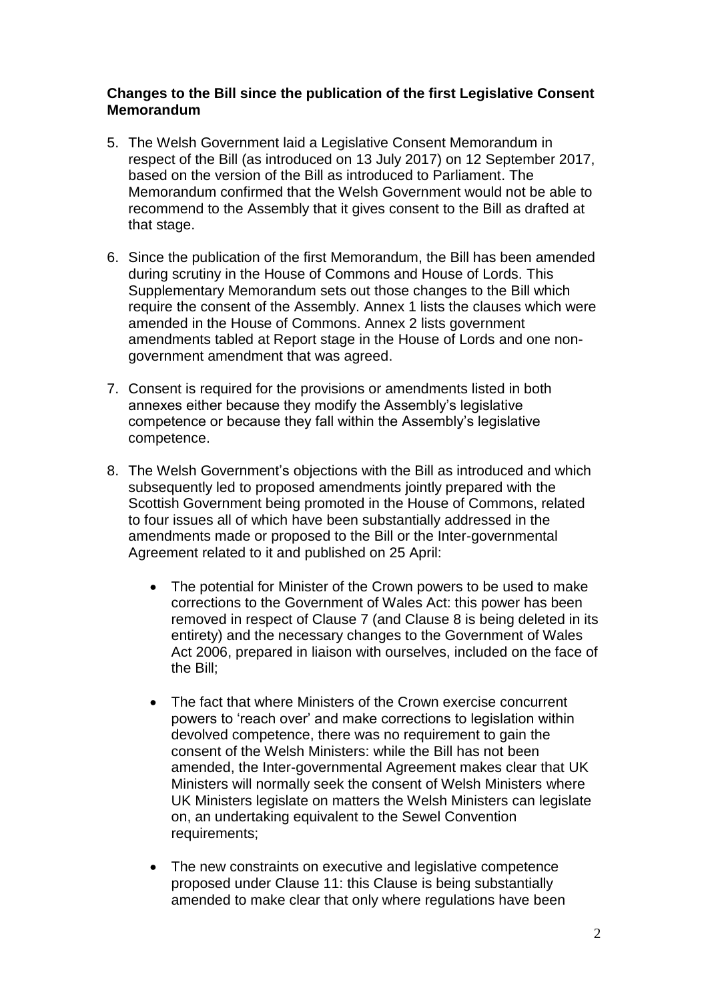#### **Changes to the Bill since the publication of the first Legislative Consent Memorandum**

- 5. The Welsh Government laid a Legislative Consent Memorandum in respect of the Bill (as introduced on 13 July 2017) on 12 September 2017, based on the version of the Bill as introduced to Parliament. The Memorandum confirmed that the Welsh Government would not be able to recommend to the Assembly that it gives consent to the Bill as drafted at that stage.
- 6. Since the publication of the first Memorandum, the Bill has been amended during scrutiny in the House of Commons and House of Lords. This Supplementary Memorandum sets out those changes to the Bill which require the consent of the Assembly. Annex 1 lists the clauses which were amended in the House of Commons. Annex 2 lists government amendments tabled at Report stage in the House of Lords and one nongovernment amendment that was agreed.
- 7. Consent is required for the provisions or amendments listed in both annexes either because they modify the Assembly's legislative competence or because they fall within the Assembly's legislative competence.
- 8. The Welsh Government's objections with the Bill as introduced and which subsequently led to proposed amendments jointly prepared with the Scottish Government being promoted in the House of Commons, related to four issues all of which have been substantially addressed in the amendments made or proposed to the Bill or the Inter-governmental Agreement related to it and published on 25 April:
	- The potential for Minister of the Crown powers to be used to make corrections to the Government of Wales Act: this power has been removed in respect of Clause 7 (and Clause 8 is being deleted in its entirety) and the necessary changes to the Government of Wales Act 2006, prepared in liaison with ourselves, included on the face of the Bill;
	- The fact that where Ministers of the Crown exercise concurrent powers to 'reach over' and make corrections to legislation within devolved competence, there was no requirement to gain the consent of the Welsh Ministers: while the Bill has not been amended, the Inter-governmental Agreement makes clear that UK Ministers will normally seek the consent of Welsh Ministers where UK Ministers legislate on matters the Welsh Ministers can legislate on, an undertaking equivalent to the Sewel Convention requirements:
	- The new constraints on executive and legislative competence proposed under Clause 11: this Clause is being substantially amended to make clear that only where regulations have been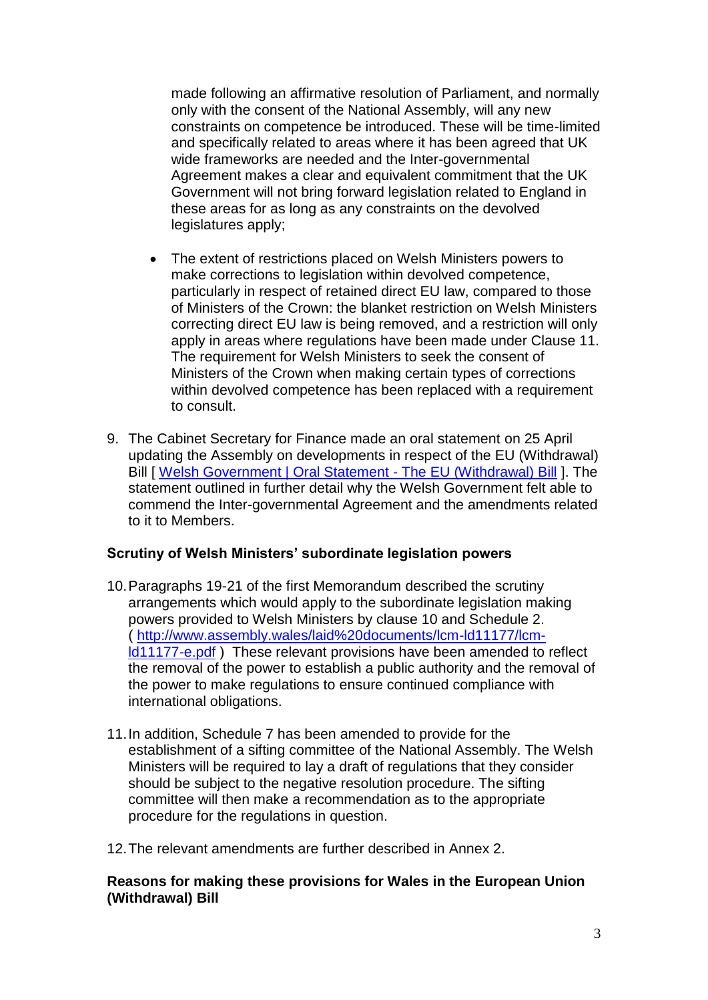made following an affirmative resolution of Parliament, and normally only with the consent of the National Assembly, will any new constraints on competence be introduced. These will be time-limited and specifically related to areas where it has been agreed that UK wide frameworks are needed and the Inter-governmental Agreement makes a clear and equivalent commitment that the UK Government will not bring forward legislation related to England in these areas for as long as any constraints on the devolved legislatures apply;

- The extent of restrictions placed on Welsh Ministers powers to make corrections to legislation within devolved competence, particularly in respect of retained direct EU law, compared to those of Ministers of the Crown: the blanket restriction on Welsh Ministers correcting direct EU law is being removed, and a restriction will only apply in areas where regulations have been made under Clause 11. The requirement for Welsh Ministers to seek the consent of Ministers of the Crown when making certain types of corrections within devolved competence has been replaced with a requirement to consult.
- 9. The Cabinet Secretary for Finance made an oral statement on 25 April updating the Assembly on developments in respect of the EU (Withdrawal) Bill [ [Welsh Government | Oral Statement -](http://gov.wales/about/cabinet/cabinetstatements/2018/eu-bill-update/?lang=en) The EU (Withdrawal) Bill ]. The statement outlined in further detail why the Welsh Government felt able to commend the Inter-governmental Agreement and the amendments related to it to Members.

## **Scrutiny of Welsh Ministers' subordinate legislation powers**

- 10.Paragraphs 19-21 of the first Memorandum described the scrutiny arrangements which would apply to the subordinate legislation making powers provided to Welsh Ministers by clause 10 and Schedule 2. ( [http://www.assembly.wales/laid%20documents/lcm-ld11177/lcm](http://www.assembly.wales/laid%20documents/lcm-ld11177/lcm-ld11177-e.pdf)[ld11177-e.pdf](http://www.assembly.wales/laid%20documents/lcm-ld11177/lcm-ld11177-e.pdf) ) These relevant provisions have been amended to reflect the removal of the power to establish a public authority and the removal of the power to make regulations to ensure continued compliance with international obligations.
- 11.In addition, Schedule 7 has been amended to provide for the establishment of a sifting committee of the National Assembly. The Welsh Ministers will be required to lay a draft of regulations that they consider should be subject to the negative resolution procedure. The sifting committee will then make a recommendation as to the appropriate procedure for the regulations in question.
- 12.The relevant amendments are further described in Annex 2.

#### **Reasons for making these provisions for Wales in the European Union (Withdrawal) Bill**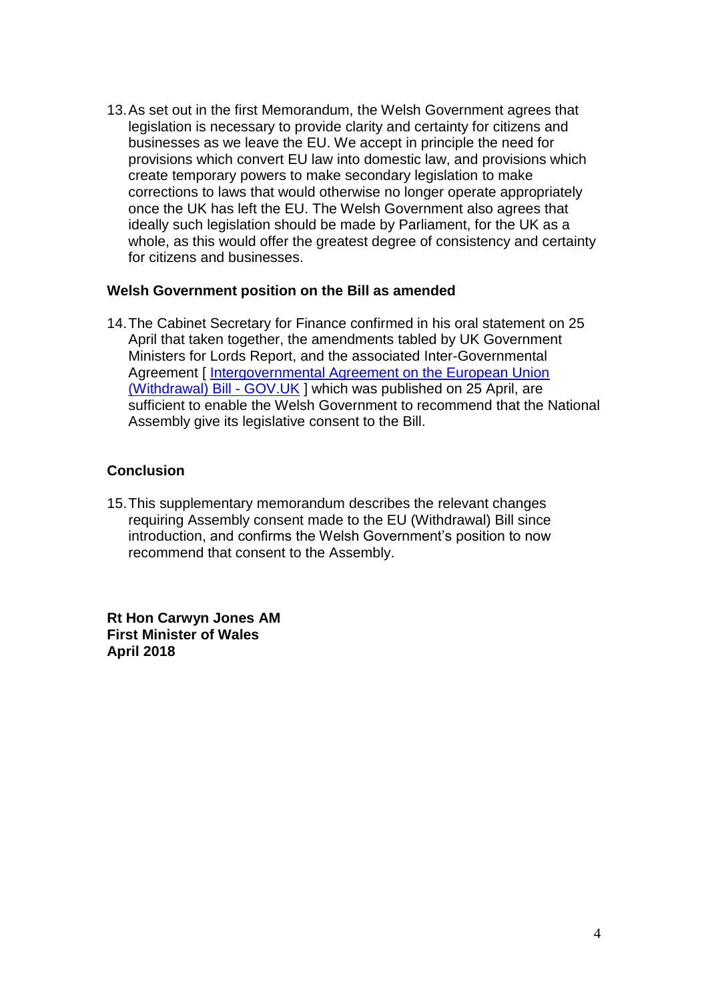13.As set out in the first Memorandum, the Welsh Government agrees that legislation is necessary to provide clarity and certainty for citizens and businesses as we leave the EU. We accept in principle the need for provisions which convert EU law into domestic law, and provisions which create temporary powers to make secondary legislation to make corrections to laws that would otherwise no longer operate appropriately once the UK has left the EU. The Welsh Government also agrees that ideally such legislation should be made by Parliament, for the UK as a whole, as this would offer the greatest degree of consistency and certainty for citizens and businesses.

#### **Welsh Government position on the Bill as amended**

14.The Cabinet Secretary for Finance confirmed in his oral statement on 25 April that taken together, the amendments tabled by UK Government Ministers for Lords Report, and the associated Inter-Governmental Agreement [ Intergovernmental Agreement on the European Union [\(Withdrawal\) Bill -](https://www.gov.uk/government/publications/intergovernmental-agreement-on-the-european-union-withdrawal-bill) GOV.UK ] which was published on 25 April, are sufficient to enable the Welsh Government to recommend that the National Assembly give its legislative consent to the Bill.

## **Conclusion**

15.This supplementary memorandum describes the relevant changes requiring Assembly consent made to the EU (Withdrawal) Bill since introduction, and confirms the Welsh Government's position to now recommend that consent to the Assembly.

**Rt Hon Carwyn Jones AM First Minister of Wales April 2018**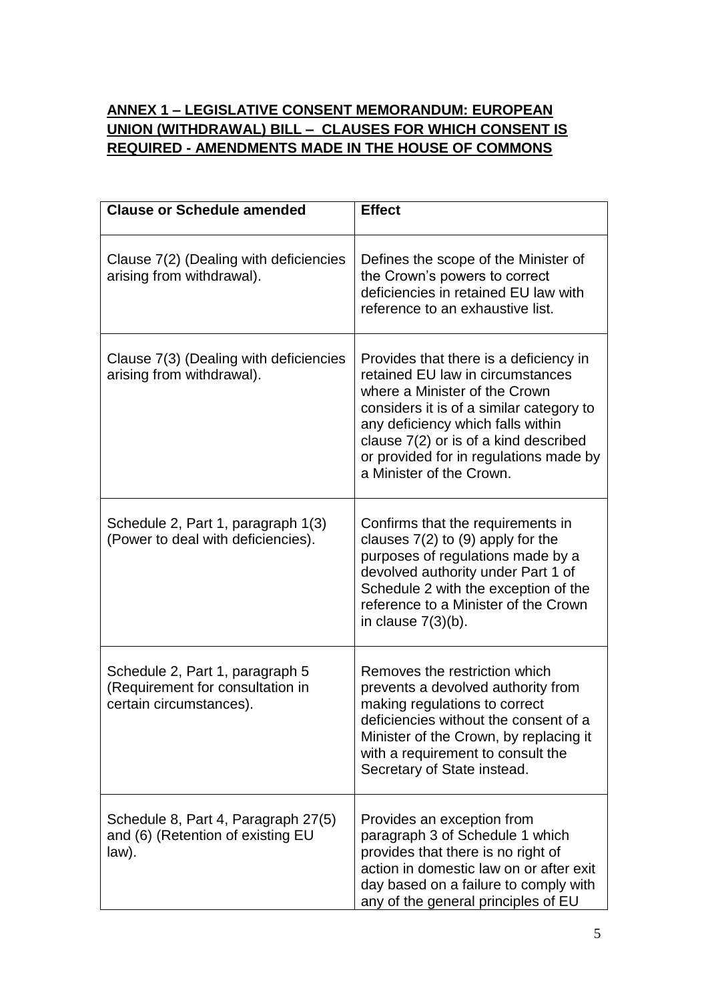# **ANNEX 1 – LEGISLATIVE CONSENT MEMORANDUM: EUROPEAN UNION (WITHDRAWAL) BILL – CLAUSES FOR WHICH CONSENT IS REQUIRED - AMENDMENTS MADE IN THE HOUSE OF COMMONS**

| <b>Clause or Schedule amended</b>                                                              | <b>Effect</b>                                                                                                                                                                                                                                                                                               |
|------------------------------------------------------------------------------------------------|-------------------------------------------------------------------------------------------------------------------------------------------------------------------------------------------------------------------------------------------------------------------------------------------------------------|
| Clause 7(2) (Dealing with deficiencies<br>arising from withdrawal).                            | Defines the scope of the Minister of<br>the Crown's powers to correct<br>deficiencies in retained EU law with<br>reference to an exhaustive list.                                                                                                                                                           |
| Clause 7(3) (Dealing with deficiencies<br>arising from withdrawal).                            | Provides that there is a deficiency in<br>retained EU law in circumstances<br>where a Minister of the Crown<br>considers it is of a similar category to<br>any deficiency which falls within<br>clause 7(2) or is of a kind described<br>or provided for in regulations made by<br>a Minister of the Crown. |
| Schedule 2, Part 1, paragraph 1(3)<br>(Power to deal with deficiencies).                       | Confirms that the requirements in<br>clauses $7(2)$ to $(9)$ apply for the<br>purposes of regulations made by a<br>devolved authority under Part 1 of<br>Schedule 2 with the exception of the<br>reference to a Minister of the Crown<br>in clause $7(3)(b)$ .                                              |
| Schedule 2, Part 1, paragraph 5<br>(Requirement for consultation in<br>certain circumstances). | Removes the restriction which<br>prevents a devolved authority from<br>making regulations to correct<br>deficiencies without the consent of a<br>Minister of the Crown, by replacing it<br>with a requirement to consult the<br>Secretary of State instead.                                                 |
| Schedule 8, Part 4, Paragraph 27(5)<br>and (6) (Retention of existing EU<br>law).              | Provides an exception from<br>paragraph 3 of Schedule 1 which<br>provides that there is no right of<br>action in domestic law on or after exit<br>day based on a failure to comply with<br>any of the general principles of EU                                                                              |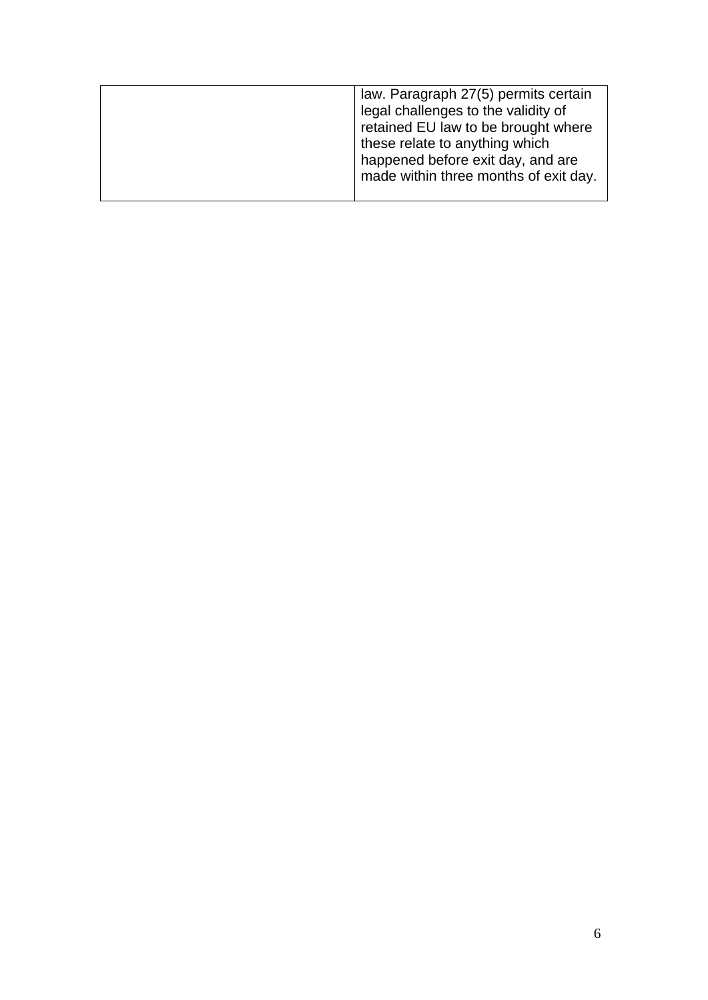| law. Paragraph 27(5) permits certain  |
|---------------------------------------|
|                                       |
| legal challenges to the validity of   |
| retained EU law to be brought where   |
| these relate to anything which        |
| happened before exit day, and are     |
| made within three months of exit day. |
|                                       |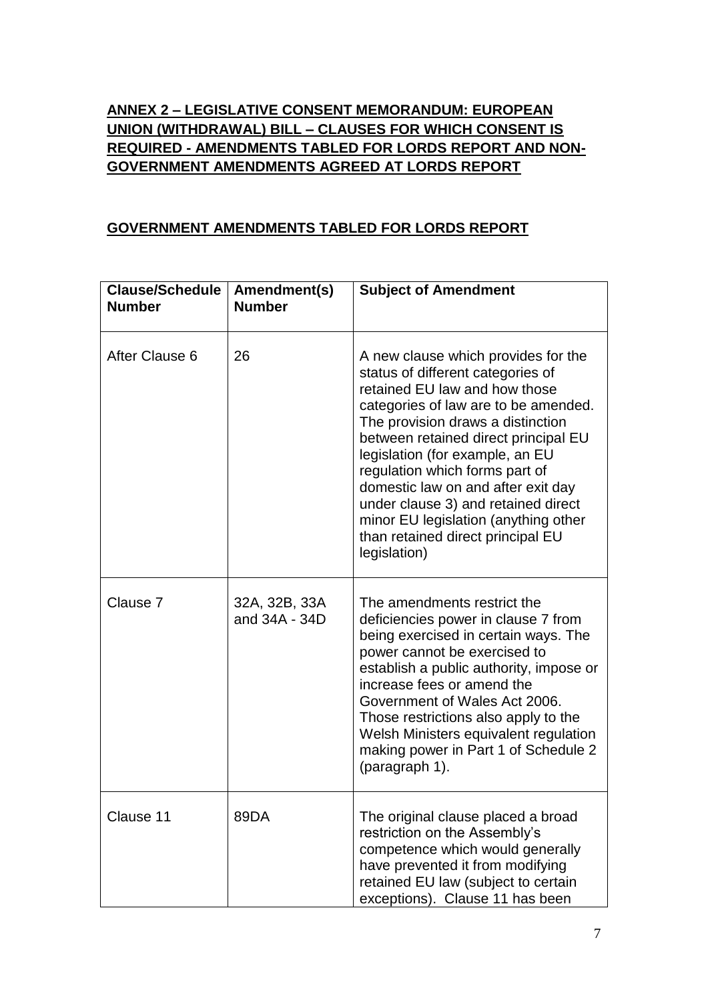# **ANNEX 2 – LEGISLATIVE CONSENT MEMORANDUM: EUROPEAN UNION (WITHDRAWAL) BILL – CLAUSES FOR WHICH CONSENT IS REQUIRED - AMENDMENTS TABLED FOR LORDS REPORT AND NON-GOVERNMENT AMENDMENTS AGREED AT LORDS REPORT**

# **GOVERNMENT AMENDMENTS TABLED FOR LORDS REPORT**

| <b>Clause/Schedule</b><br><b>Number</b> | Amendment(s)<br><b>Number</b>  | <b>Subject of Amendment</b>                                                                                                                                                                                                                                                                                                                                                                                                                                                   |
|-----------------------------------------|--------------------------------|-------------------------------------------------------------------------------------------------------------------------------------------------------------------------------------------------------------------------------------------------------------------------------------------------------------------------------------------------------------------------------------------------------------------------------------------------------------------------------|
| After Clause 6                          | 26                             | A new clause which provides for the<br>status of different categories of<br>retained EU law and how those<br>categories of law are to be amended.<br>The provision draws a distinction<br>between retained direct principal EU<br>legislation (for example, an EU<br>regulation which forms part of<br>domestic law on and after exit day<br>under clause 3) and retained direct<br>minor EU legislation (anything other<br>than retained direct principal EU<br>legislation) |
| Clause 7                                | 32A, 32B, 33A<br>and 34A - 34D | The amendments restrict the<br>deficiencies power in clause 7 from<br>being exercised in certain ways. The<br>power cannot be exercised to<br>establish a public authority, impose or<br>increase fees or amend the<br>Government of Wales Act 2006.<br>Those restrictions also apply to the<br>Welsh Ministers equivalent regulation<br>making power in Part 1 of Schedule 2<br>(paragraph 1).                                                                               |
| Clause 11                               | 89DA                           | The original clause placed a broad<br>restriction on the Assembly's<br>competence which would generally<br>have prevented it from modifying<br>retained EU law (subject to certain<br>exceptions). Clause 11 has been                                                                                                                                                                                                                                                         |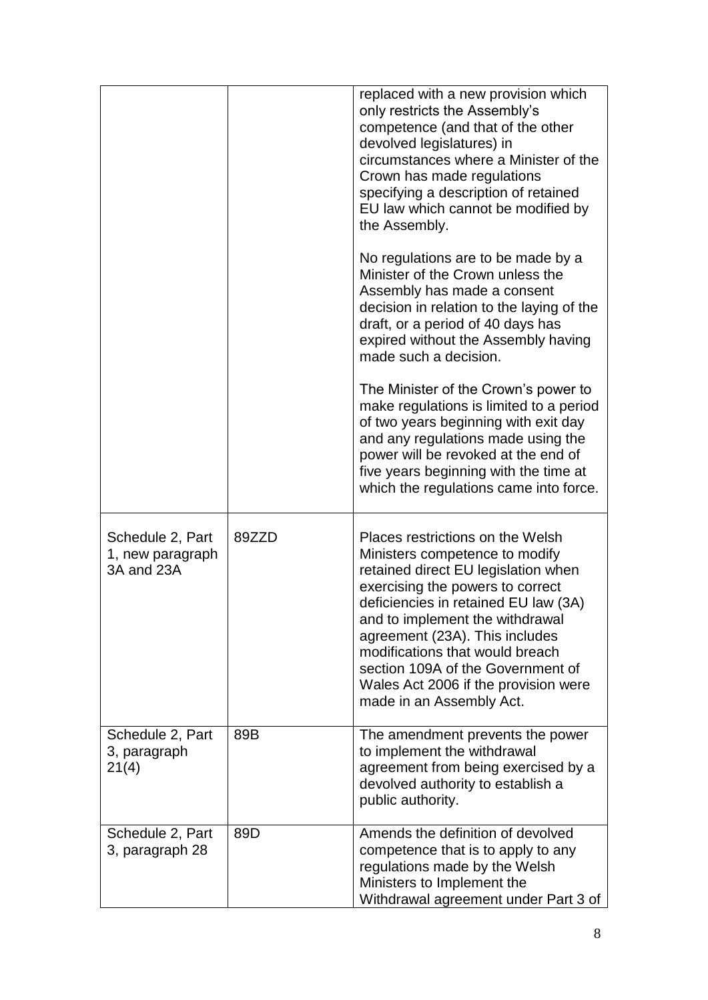|                                                    |       | replaced with a new provision which<br>only restricts the Assembly's<br>competence (and that of the other<br>devolved legislatures) in<br>circumstances where a Minister of the<br>Crown has made regulations<br>specifying a description of retained<br>EU law which cannot be modified by<br>the Assembly.                                                                                           |
|----------------------------------------------------|-------|--------------------------------------------------------------------------------------------------------------------------------------------------------------------------------------------------------------------------------------------------------------------------------------------------------------------------------------------------------------------------------------------------------|
|                                                    |       | No regulations are to be made by a<br>Minister of the Crown unless the<br>Assembly has made a consent<br>decision in relation to the laying of the<br>draft, or a period of 40 days has<br>expired without the Assembly having<br>made such a decision.                                                                                                                                                |
|                                                    |       | The Minister of the Crown's power to<br>make regulations is limited to a period<br>of two years beginning with exit day<br>and any regulations made using the<br>power will be revoked at the end of<br>five years beginning with the time at<br>which the regulations came into force.                                                                                                                |
| Schedule 2, Part<br>1, new paragraph<br>3A and 23A | 89ZZD | Places restrictions on the Welsh<br>Ministers competence to modify<br>retained direct EU legislation when<br>exercising the powers to correct<br>deficiencies in retained EU law (3A)<br>and to implement the withdrawal<br>agreement (23A). This includes<br>modifications that would breach<br>section 109A of the Government of<br>Wales Act 2006 if the provision were<br>made in an Assembly Act. |
| Schedule 2, Part<br>3, paragraph<br>21(4)          | 89B   | The amendment prevents the power<br>to implement the withdrawal<br>agreement from being exercised by a<br>devolved authority to establish a<br>public authority.                                                                                                                                                                                                                                       |
| Schedule 2, Part<br>3, paragraph 28                | 89D   | Amends the definition of devolved<br>competence that is to apply to any<br>regulations made by the Welsh<br>Ministers to Implement the<br>Withdrawal agreement under Part 3 of                                                                                                                                                                                                                         |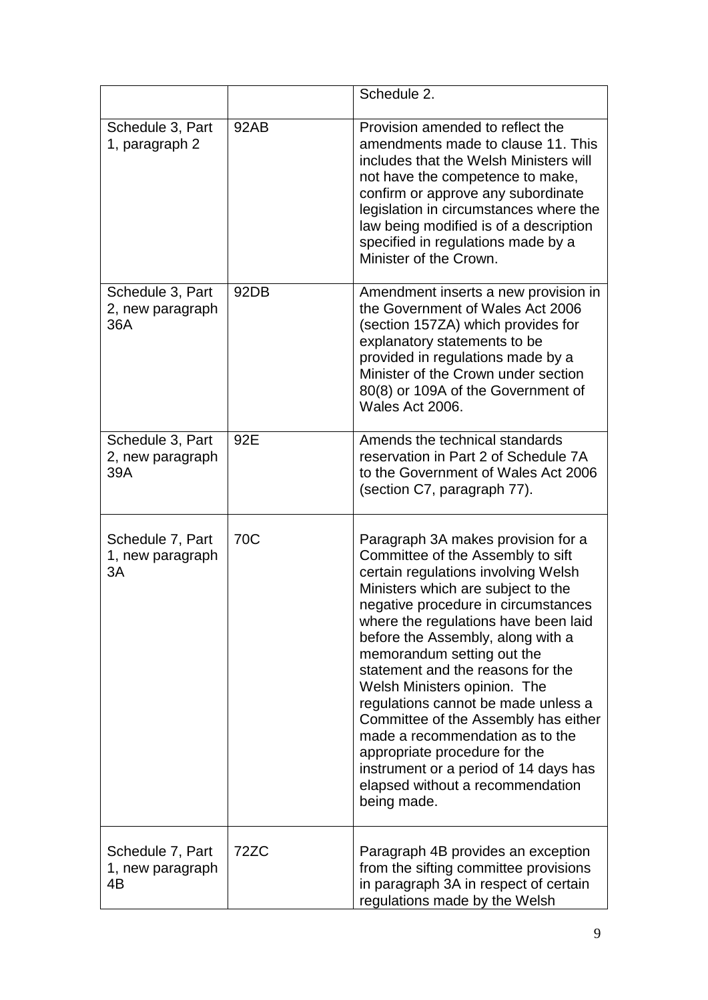|                                             |             | Schedule 2.                                                                                                                                                                                                                                                                                                                                                                                                                                                                                                                                                                                                                |
|---------------------------------------------|-------------|----------------------------------------------------------------------------------------------------------------------------------------------------------------------------------------------------------------------------------------------------------------------------------------------------------------------------------------------------------------------------------------------------------------------------------------------------------------------------------------------------------------------------------------------------------------------------------------------------------------------------|
| Schedule 3, Part<br>1, paragraph 2          | 92AB        | Provision amended to reflect the<br>amendments made to clause 11. This<br>includes that the Welsh Ministers will<br>not have the competence to make,<br>confirm or approve any subordinate<br>legislation in circumstances where the<br>law being modified is of a description<br>specified in regulations made by a<br>Minister of the Crown.                                                                                                                                                                                                                                                                             |
| Schedule 3, Part<br>2, new paragraph<br>36A | 92DB        | Amendment inserts a new provision in<br>the Government of Wales Act 2006<br>(section 157ZA) which provides for<br>explanatory statements to be<br>provided in regulations made by a<br>Minister of the Crown under section<br>80(8) or 109A of the Government of<br>Wales Act 2006.                                                                                                                                                                                                                                                                                                                                        |
| Schedule 3, Part<br>2, new paragraph<br>39A | 92E         | Amends the technical standards<br>reservation in Part 2 of Schedule 7A<br>to the Government of Wales Act 2006<br>(section C7, paragraph 77).                                                                                                                                                                                                                                                                                                                                                                                                                                                                               |
| Schedule 7, Part<br>1, new paragraph<br>3A  | 70C         | Paragraph 3A makes provision for a<br>Committee of the Assembly to sift<br>certain regulations involving Welsh<br>Ministers which are subject to the<br>negative procedure in circumstances<br>where the regulations have been laid<br>before the Assembly, along with a<br>memorandum setting out the<br>statement and the reasons for the<br>Welsh Ministers opinion. The<br>regulations cannot be made unless a<br>Committee of the Assembly has either<br>made a recommendation as to the<br>appropriate procedure for the<br>instrument or a period of 14 days has<br>elapsed without a recommendation<br>being made. |
| Schedule 7, Part<br>1, new paragraph<br>4B  | <b>72ZC</b> | Paragraph 4B provides an exception<br>from the sifting committee provisions<br>in paragraph 3A in respect of certain<br>regulations made by the Welsh                                                                                                                                                                                                                                                                                                                                                                                                                                                                      |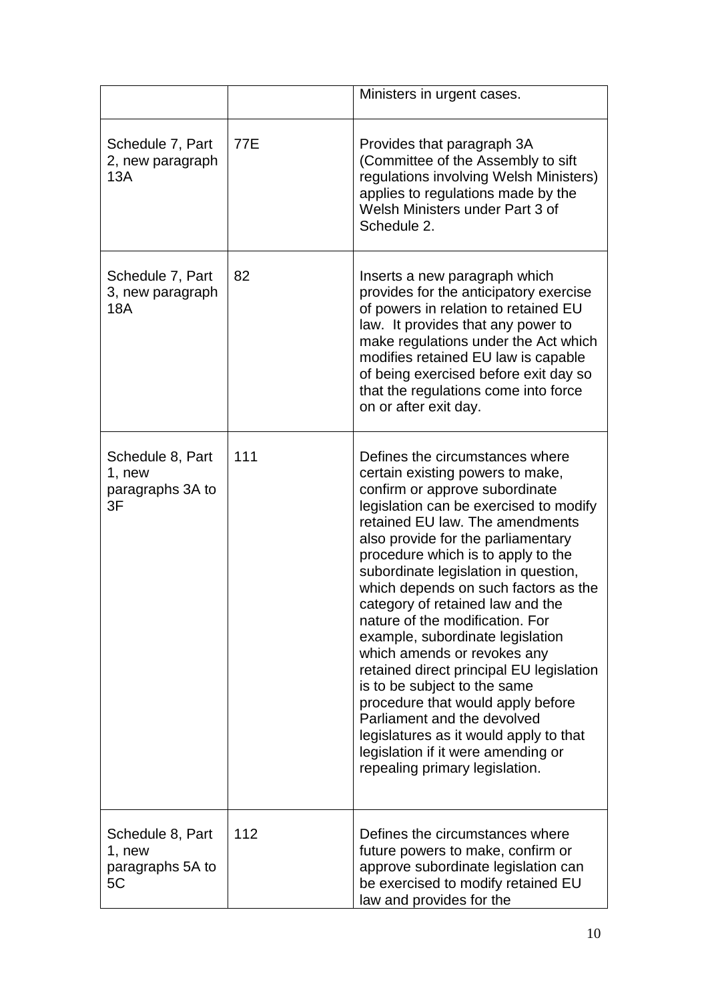|                                                      |     | Ministers in urgent cases.                                                                                                                                                                                                                                                                                                                                                                                                                                                                                                                                                                                                                                                                                                                                 |
|------------------------------------------------------|-----|------------------------------------------------------------------------------------------------------------------------------------------------------------------------------------------------------------------------------------------------------------------------------------------------------------------------------------------------------------------------------------------------------------------------------------------------------------------------------------------------------------------------------------------------------------------------------------------------------------------------------------------------------------------------------------------------------------------------------------------------------------|
| Schedule 7, Part<br>2, new paragraph<br>13A          | 77E | Provides that paragraph 3A<br>(Committee of the Assembly to sift<br>regulations involving Welsh Ministers)<br>applies to regulations made by the<br>Welsh Ministers under Part 3 of<br>Schedule 2.                                                                                                                                                                                                                                                                                                                                                                                                                                                                                                                                                         |
| Schedule 7, Part<br>3, new paragraph<br><b>18A</b>   | 82  | Inserts a new paragraph which<br>provides for the anticipatory exercise<br>of powers in relation to retained EU<br>law. It provides that any power to<br>make regulations under the Act which<br>modifies retained EU law is capable<br>of being exercised before exit day so<br>that the regulations come into force<br>on or after exit day.                                                                                                                                                                                                                                                                                                                                                                                                             |
| Schedule 8, Part<br>1, new<br>paragraphs 3A to<br>3F | 111 | Defines the circumstances where<br>certain existing powers to make,<br>confirm or approve subordinate<br>legislation can be exercised to modify<br>retained EU law. The amendments<br>also provide for the parliamentary<br>procedure which is to apply to the<br>subordinate legislation in question,<br>which depends on such factors as the<br>category of retained law and the<br>nature of the modification. For<br>example, subordinate legislation<br>which amends or revokes any<br>retained direct principal EU legislation<br>is to be subject to the same<br>procedure that would apply before<br>Parliament and the devolved<br>legislatures as it would apply to that<br>legislation if it were amending or<br>repealing primary legislation. |
| Schedule 8, Part<br>1, new<br>paragraphs 5A to<br>5C | 112 | Defines the circumstances where<br>future powers to make, confirm or<br>approve subordinate legislation can<br>be exercised to modify retained EU<br>law and provides for the                                                                                                                                                                                                                                                                                                                                                                                                                                                                                                                                                                              |